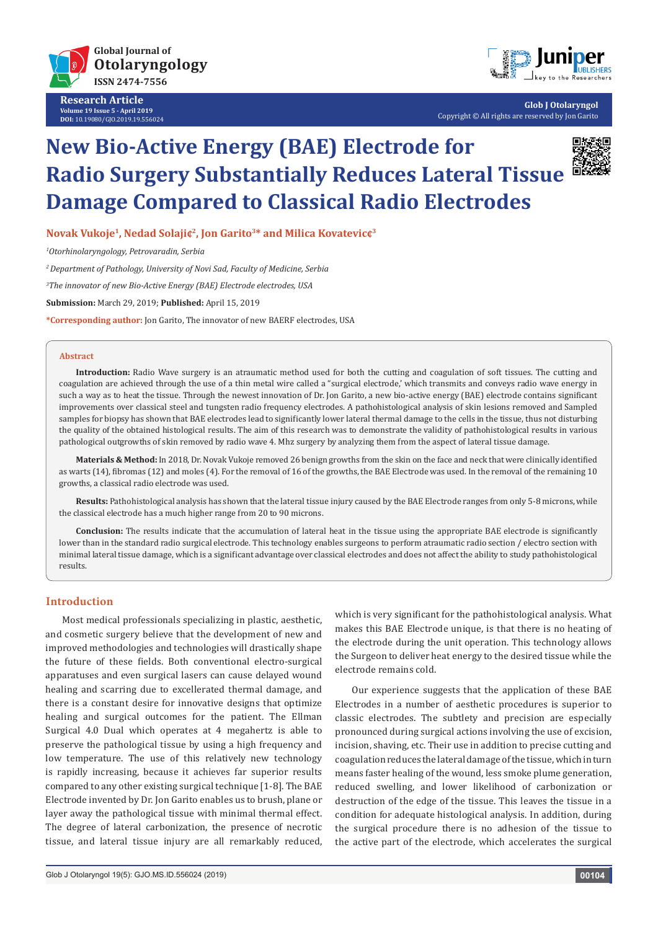

**Research Article Volume 19 Issue 5 - April 2019 DOI:** [10.19080/GJO.2019.19.556024](http://dx.doi.org/10.19080/GJO.2019.19.556024)



**Glob J Otolaryngol** Copyright © All rights are reserved by Jon Garito

# **New Bio-Active Energy (BAE) Electrode for Radio Surgery Substantially Reduces Lateral Tissue Damage Compared to Classical Radio Electrodes**



**Novak Vukoje1, Nedad Solaji¢2, Jon Garito3\* and Milica Kovatevic¢3**

*1 Otorhinolaryngology, Petrovaradin, Serbia*

*2 Department of Pathology, University of Novi Sad, Faculty of Medicine, Serbia*

*3 The innovator of new Bio-Active Energy (BAE) Electrode electrodes, USA*

**Submission:** March 29, 2019; **Published:** April 15, 2019

**\*Corresponding author:** Jon Garito, The innovator of new BAERF electrodes, USA

#### **Abstract**

**Introduction:** Radio Wave surgery is an atraumatic method used for both the cutting and coagulation of soft tissues. The cutting and coagulation are achieved through the use of a thin metal wire called a "surgical electrode,' which transmits and conveys radio wave energy in such a way as to heat the tissue. Through the newest innovation of Dr. Jon Garito, a new bio-active energy (BAE) electrode contains significant improvements over classical steel and tungsten radio frequency electrodes. A pathohistological analysis of skin lesions removed and Sampled samples for biopsy has shown that BAE electrodes lead to significantly lower lateral thermal damage to the cells in the tissue, thus not disturbing the quality of the obtained histological results. The aim of this research was to demonstrate the validity of pathohistological results in various pathological outgrowths of skin removed by radio wave 4. Mhz surgery by analyzing them from the aspect of lateral tissue damage.

**Materials & Method:** In 2018, Dr. Novak Vukoje removed 26 benign growths from the skin on the face and neck that were clinically identified as warts (14), fibromas (12) and moles (4). For the removal of 16 of the growths, the BAE Electrode was used. In the removal of the remaining 10 growths, a classical radio electrode was used.

**Results:** Pathohistological analysis has shown that the lateral tissue injury caused by the BAE Electrode ranges from only 5-8 microns, while the classical electrode has a much higher range from 20 to 90 microns.

**Conclusion:** The results indicate that the accumulation of lateral heat in the tissue using the appropriate BAE electrode is significantly lower than in the standard radio surgical electrode. This technology enables surgeons to perform atraumatic radio section / electro section with minimal lateral tissue damage, which is a significant advantage over classical electrodes and does not affect the ability to study pathohistological results.

## **Introduction**

Most medical professionals specializing in plastic, aesthetic, and cosmetic surgery believe that the development of new and improved methodologies and technologies will drastically shape the future of these fields. Both conventional electro-surgical apparatuses and even surgical lasers can cause delayed wound healing and scarring due to excellerated thermal damage, and there is a constant desire for innovative designs that optimize healing and surgical outcomes for the patient. The Ellman Surgical 4.0 Dual which operates at 4 megahertz is able to preserve the pathological tissue by using a high frequency and low temperature. The use of this relatively new technology is rapidly increasing, because it achieves far superior results compared to any other existing surgical technique [1-8]. The BAE Electrode invented by Dr. Jon Garito enables us to brush, plane or layer away the pathological tissue with minimal thermal effect. The degree of lateral carbonization, the presence of necrotic tissue, and lateral tissue injury are all remarkably reduced, which is very significant for the pathohistological analysis. What makes this BAE Electrode unique, is that there is no heating of the electrode during the unit operation. This technology allows the Surgeon to deliver heat energy to the desired tissue while the electrode remains cold.

Our experience suggests that the application of these BAE Electrodes in a number of aesthetic procedures is superior to classic electrodes. The subtlety and precision are especially pronounced during surgical actions involving the use of excision, incision, shaving, etc. Their use in addition to precise cutting and coagulation reduces the lateral damage of the tissue, which in turn means faster healing of the wound, less smoke plume generation, reduced swelling, and lower likelihood of carbonization or destruction of the edge of the tissue. This leaves the tissue in a condition for adequate histological analysis. In addition, during the surgical procedure there is no adhesion of the tissue to the active part of the electrode, which accelerates the surgical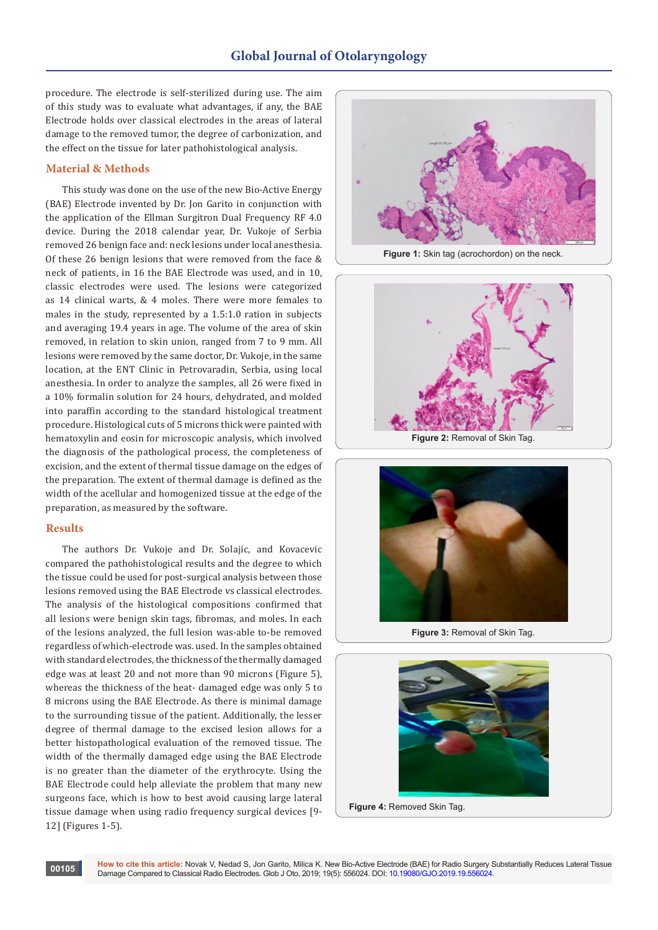# **Global Journal of Otolaryngology**

procedure. The electrode is self-sterilized during use. The aim of this study was to evaluate what advantages, if any, the BAE Electrode holds over classical electrodes in the areas of lateral damage to the removed tumor, the degree of carbonization, and the effect on the tissue for later pathohistological analysis.

#### **Material & Methods**

This study was done on the use of the new Bio-Active Energy (BAE) Electrode invented by Dr. Jon Garito in conjunction with the application of the Ellman Surgitron Dual Frequency RF 4.0 device. During the 2018 calendar year, Dr. Vukoje of Serbia removed 26 benign face and: neck lesions under local anesthesia. Of these 26 benign lesions that were removed from the face & neck of patients, in 16 the BAE Electrode was used, and in 10, classic electrodes were used. The lesions were categorized as 14 clinical warts, & 4 moles. There were more females to males in the study, represented by a 1.5:1.0 ration in subjects and averaging 19.4 years in age. The volume of the area of skin removed, in relation to skin union, ranged from 7 to 9 mm. All lesions were removed by the same doctor, Dr. Vukoje, in the same location, at the ENT Clinic in Petrovaradin, Serbia, using local anesthesia. In order to analyze the samples, all 26 were fixed in a 10% formalin solution for 24 hours, dehydrated, and molded into paraffin according to the standard histological treatment procedure. Histological cuts of 5 microns thick were painted with hematoxylin and eosin for microscopic analysis, which involved the diagnosis of the pathological process, the completeness of excision, and the extent of thermal tissue damage on the edges of the preparation. The extent of thermal damage is defined as the width of the acellular and homogenized tissue at the edge of the preparation, as measured by the software.

### **Results**

The authors Dr. Vukoje and Dr. Solajic, and Kovacevic compared the pathohistological results and the degree to which the tissue could be used for post-surgical analysis between those lesions removed using the BAE Electrode vs classical electrodes. The analysis of the histological compositions confirmed that all lesions were benign skin tags, fibromas, and moles. In each of the lesions analyzed, the full lesion was-able to-be removed regardless of which-electrode was. used. In the samples obtained with standard electrodes, the thickness of the thermally damaged edge was at least 20 and not more than 90 microns (Figure 5), whereas the thickness of the heat- damaged edge was only 5 to 8 microns using the BAE Electrode. As there is minimal damage to the surrounding tissue of the patient. Additionally, the lesser degree of thermal damage to the excised lesion allows for a better histopathological evaluation of the removed tissue. The width of the thermally damaged edge using the BAE Electrode is no greater than the diameter of the erythrocyte. Using the BAE Electrode could help alleviate the problem that many new surgeons face, which is how to best avoid causing large lateral tissue damage when using radio frequency surgical devices [9- 12] (Figures 1-5).



**Figure 1:** Skin tag (acrochordon) on the neck.





**Figure 3:** Removal of Skin Tag.



**Figure 4:** Removed Skin Tag.